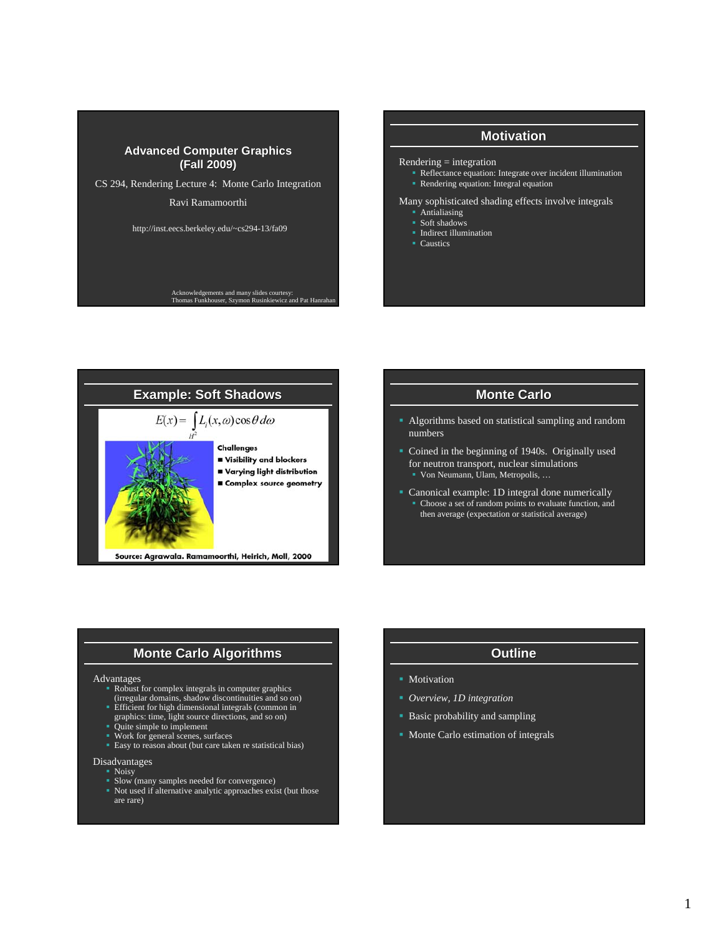CS 294, Rendering Lecture 4: Monte Carlo Integration

### Ravi Ramamoorthi

http://inst.eecs.berkeley.edu/~cs294-13/fa09

Acknowledgements and many slides courtesy: Thomas Funkhouser, Szymon Rusinkiewicz and Pat Hanrahan

### **Motivation**

#### Rendering = integration

- Reflectance equation: Integrate over incident illumination
- **Rendering equation: Integral equation**

### Many sophisticated shading effects involve integrals

- **Antialiasing**
- Soft shadows
- **Indirect illumination**
- **Caustics**



- Algorithms based on statistical sampling and random numbers
- Coined in the beginning of 1940s. Originally used for neutron transport, nuclear simulations
	- Von Neumann, Ulam, Metropolis, …
- Canonical example: 1D integral done numerically • Choose a set of random points to evaluate function, and then average (expectation or statistical average)

### **Monte Carlo Algorithms**

#### Advantages

- Robust for complex integrals in computer graphics (irregular domains, shadow discontinuities and so on)
- **Efficient for high dimensional integrals (common in**
- graphics: time, light source directions, and so on)
- Quite simple to implement
- Work for general scenes, surfaces
- Easy to reason about (but care taken re statistical bias)

#### Disadvantages

- Noisy
- Slow (many samples needed for convergence) Not used if alternative analytic approaches exist (but those
- are rare)

### **Outline**

- **Motivation**
- *Overview, 1D integration*
- **Basic probability and sampling**
- **Monte Carlo estimation of integrals**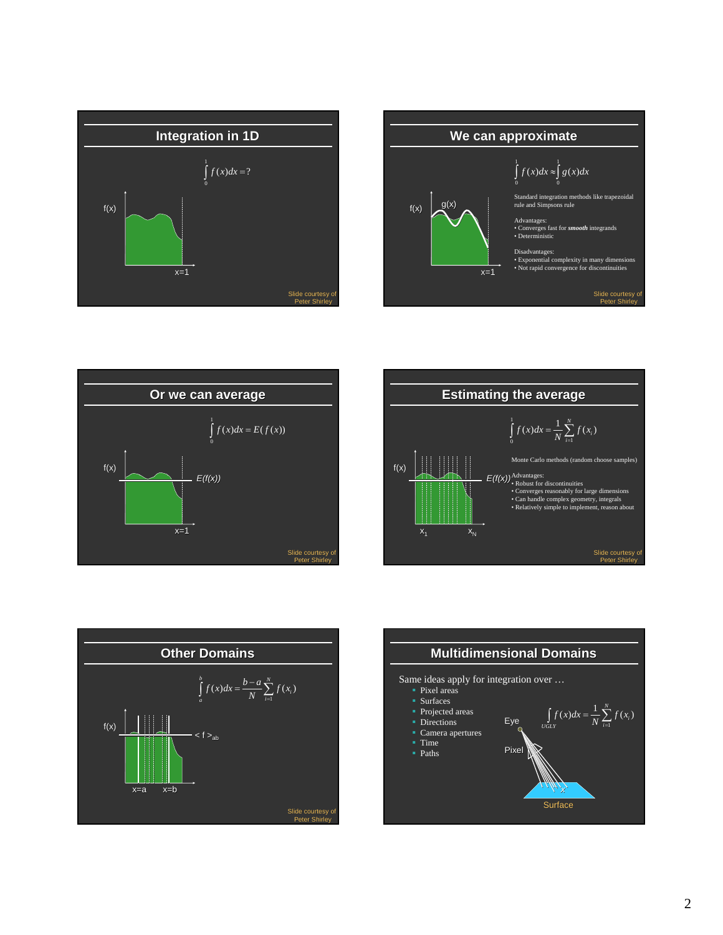









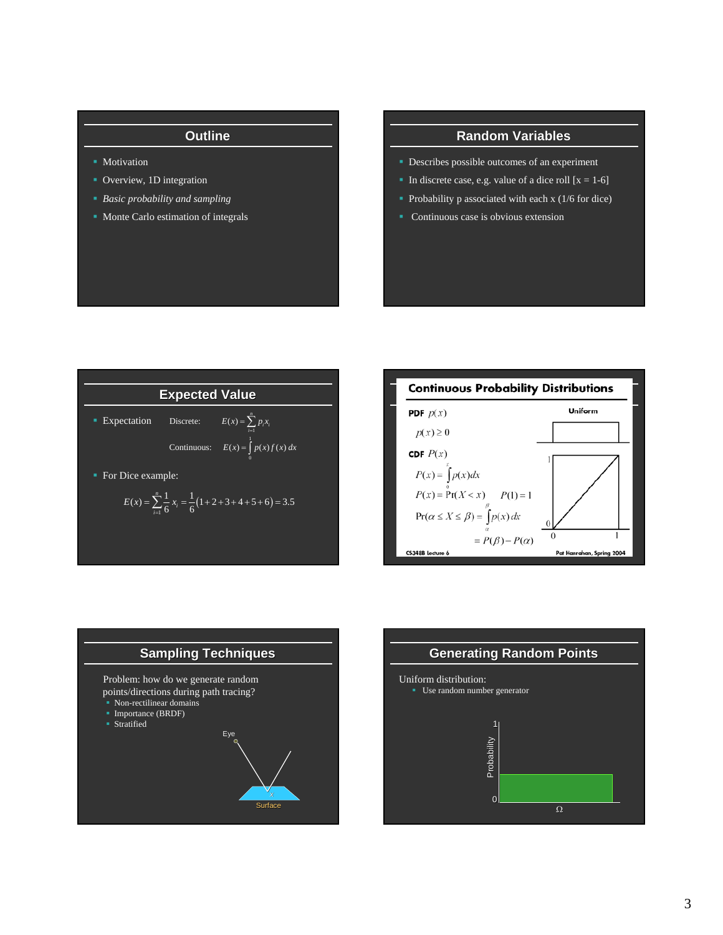### **Outline**

- **Motivation**
- Overview, 1D integration
- *Basic probability and sampling*
- Monte Carlo estimation of integrals

### **Random Variables**

- Describes possible outcomes of an experiment
- In discrete case, e.g. value of a dice roll  $[x = 1-6]$
- Probability p associated with each  $x$  (1/6 for dice)
- Continuous case is obvious extension







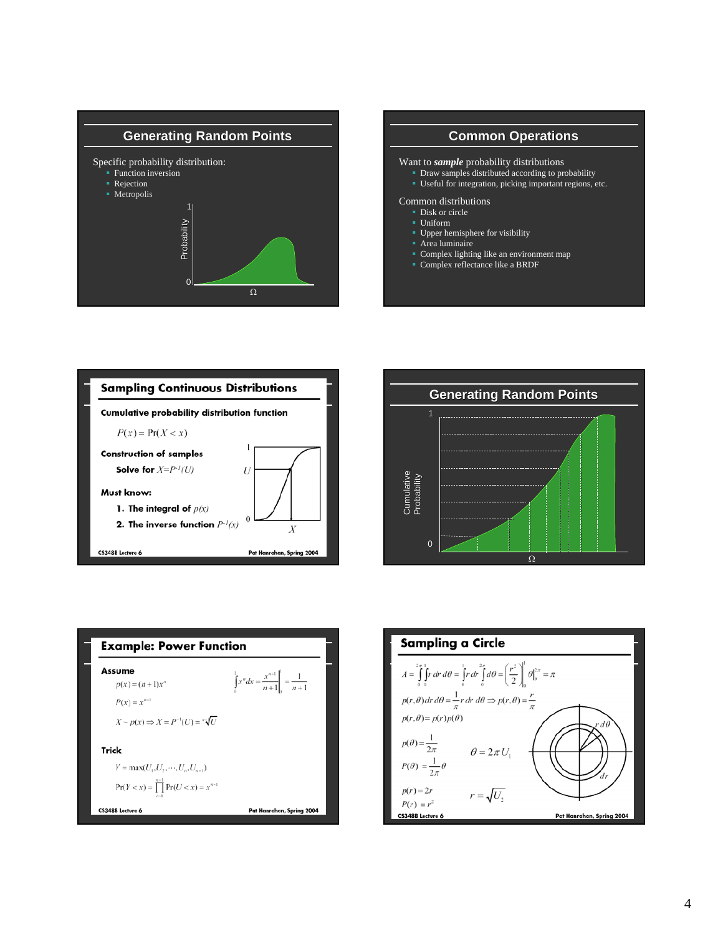

# **Common Operations** Want to *sample* probability distributions • Draw samples distributed according to probability Useful for integration, picking important regions, etc.

### Common distributions

- **Disk or circle** Uniform
- Upper hemisphere for visibility
- Area luminaire
- Complex lighting like an environment map
- Complex reflectance like a BRDF







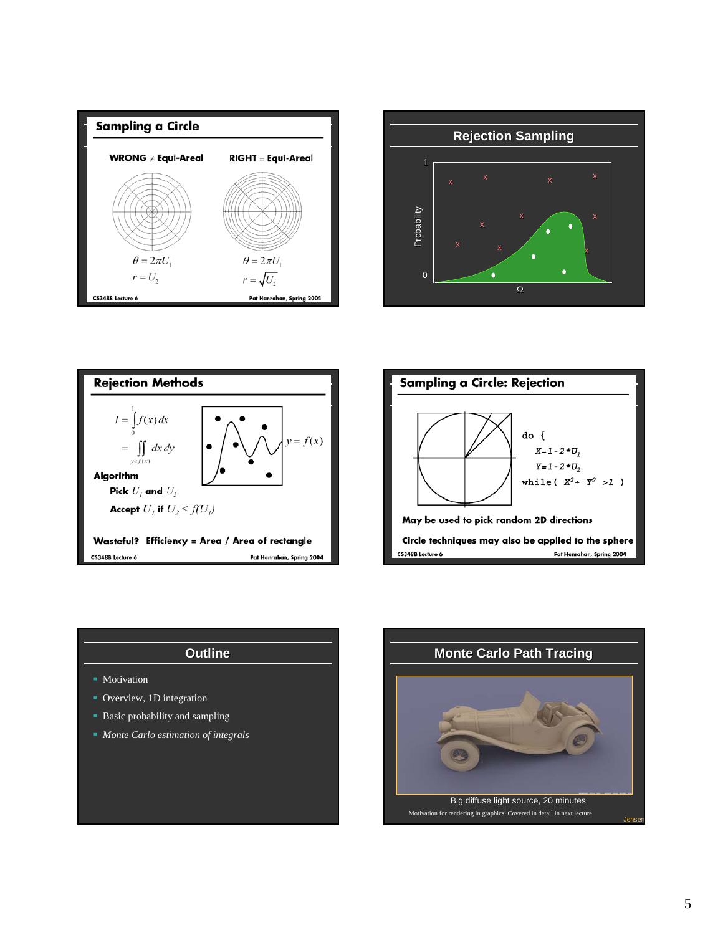









- **Overview, 1D integration**
- **Basic probability and sampling**
- *Monte Carlo estimation of integrals*

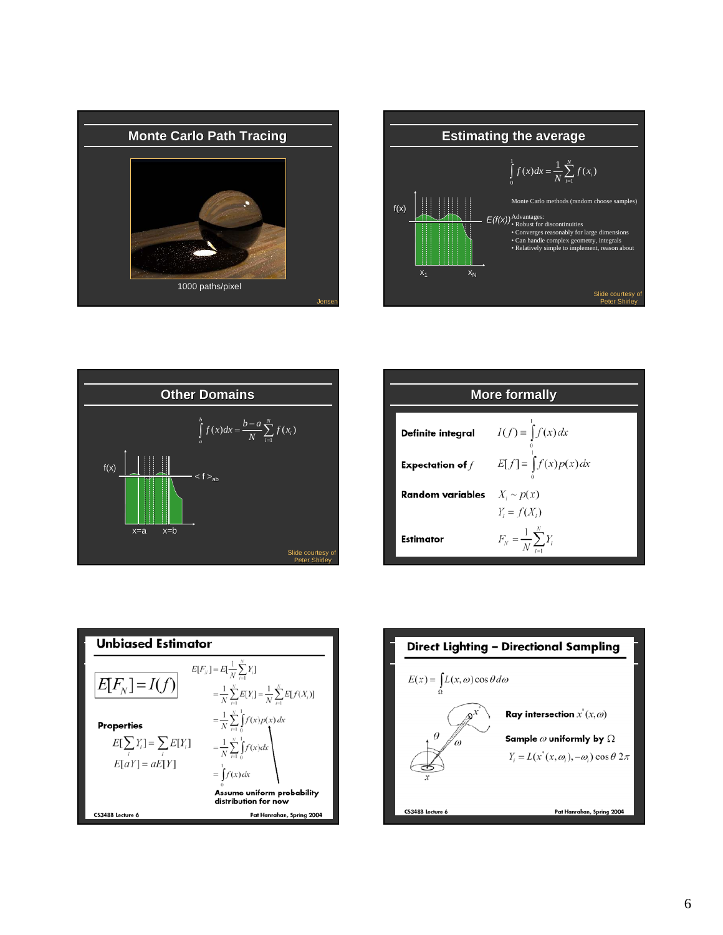









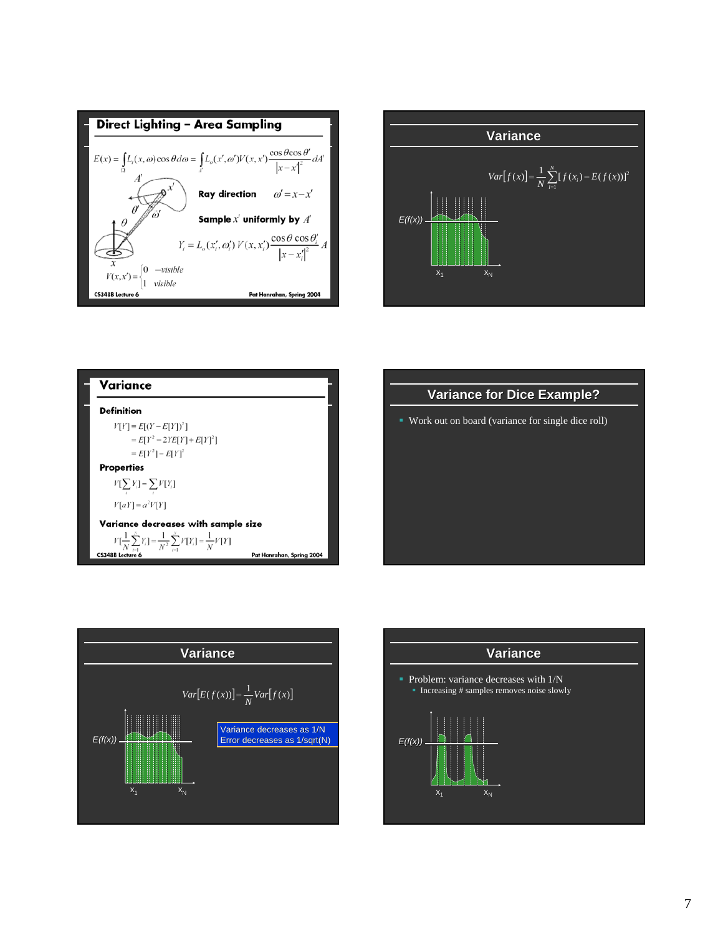









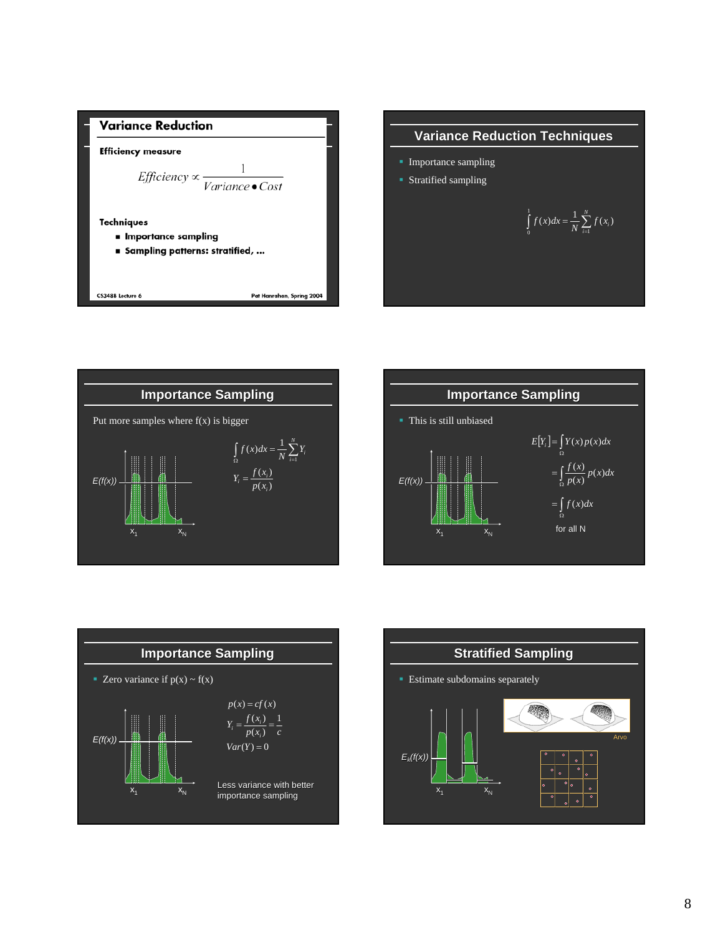